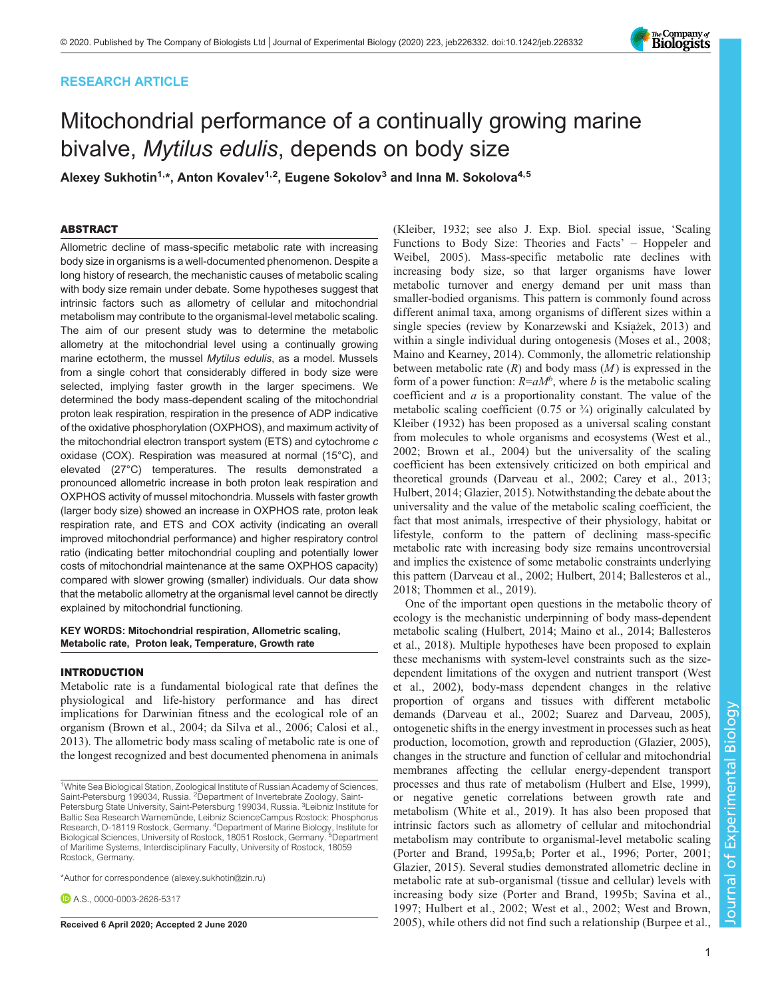# RESEARCH ARTICLE

# Mitochondrial performance of a continually growing marine bivalve, Mytilus edulis, depends on body size

Alexey Sukhotin<sup>1,\*</sup>, Anton Kovalev<sup>1,2</sup>, Eugene Sokolov<sup>3</sup> and Inna M. Sokolova<sup>4,5</sup>

# ABSTRACT

Allometric decline of mass-specific metabolic rate with increasing body size in organisms is a well-documented phenomenon. Despite a long history of research, the mechanistic causes of metabolic scaling with body size remain under debate. Some hypotheses suggest that intrinsic factors such as allometry of cellular and mitochondrial metabolism may contribute to the organismal-level metabolic scaling. The aim of our present study was to determine the metabolic allometry at the mitochondrial level using a continually growing marine ectotherm, the mussel Mytilus edulis, as a model. Mussels from a single cohort that considerably differed in body size were selected, implying faster growth in the larger specimens. We determined the body mass-dependent scaling of the mitochondrial proton leak respiration, respiration in the presence of ADP indicative of the oxidative phosphorylation (OXPHOS), and maximum activity of the mitochondrial electron transport system (ETS) and cytochrome c oxidase (COX). Respiration was measured at normal (15°C), and elevated (27°C) temperatures. The results demonstrated a pronounced allometric increase in both proton leak respiration and OXPHOS activity of mussel mitochondria. Mussels with faster growth (larger body size) showed an increase in OXPHOS rate, proton leak respiration rate, and ETS and COX activity (indicating an overall improved mitochondrial performance) and higher respiratory control ratio (indicating better mitochondrial coupling and potentially lower costs of mitochondrial maintenance at the same OXPHOS capacity) compared with slower growing (smaller) individuals. Our data show that the metabolic allometry at the organismal level cannot be directly explained by mitochondrial functioning.

# KEY WORDS: Mitochondrial respiration, Allometric scaling, Metabolic rate, Proton leak, Temperature, Growth rate

## INTRODUCTION

Metabolic rate is a fundamental biological rate that defines the physiological and life-history performance and has direct implications for Darwinian fitness and the ecological role of an organism [\(Brown et al., 2004; da Silva et al., 2006; Calosi et al.,](#page-7-0) [2013](#page-7-0)). The allometric body mass scaling of metabolic rate is one of the longest recognized and best documented phenomena in animals

\*Author for correspondence [\(alexey.sukhotin@zin.ru](mailto:alexey.sukhotin@zin.ru))

**D.A.S., [0000-0003-2626-5317](http://orcid.org/0000-0003-2626-5317)** 

[\(Kleiber, 1932;](#page-7-0) see also J. Exp. Biol. special issue, 'Scaling Functions to Body Size: Theories and Facts' – Hoppeler and Weibel, 2005). Mass-specific metabolic rate declines with increasing body size, so that larger organisms have lower metabolic turnover and energy demand per unit mass than smaller-bodied organisms. This pattern is commonly found across different animal taxa, among organisms of different sizes within a single species (review by Konarzewski and Książek, 2013) and within a single individual during ontogenesis ([Moses et al., 2008](#page-7-0); [Maino and Kearney, 2014\)](#page-7-0). Commonly, the allometric relationship between metabolic rate  $(R)$  and body mass  $(M)$  is expressed in the form of a power function:  $R=aM^b$ , where b is the metabolic scaling coefficient and  $a$  is a proportionality constant. The value of the metabolic scaling coefficient  $(0.75 \text{ or } 3/4)$  originally calculated by [Kleiber \(1932\)](#page-7-0) has been proposed as a universal scaling constant from molecules to whole organisms and ecosystems [\(West et al.,](#page-8-0) [2002;](#page-8-0) [Brown et al., 2004\)](#page-7-0) but the universality of the scaling coefficient has been extensively criticized on both empirical and theoretical grounds ([Darveau et al., 2002](#page-7-0); [Carey et al., 2013](#page-7-0); [Hulbert, 2014; Glazier, 2015\)](#page-7-0). Notwithstanding the debate about the universality and the value of the metabolic scaling coefficient, the fact that most animals, irrespective of their physiology, habitat or lifestyle, conform to the pattern of declining mass-specific metabolic rate with increasing body size remains uncontroversial and implies the existence of some metabolic constraints underlying this pattern ([Darveau et al., 2002](#page-7-0); [Hulbert, 2014](#page-7-0); [Ballesteros et al.,](#page-7-0) [2018;](#page-7-0) [Thommen et al., 2019](#page-8-0)).

One of the important open questions in the metabolic theory of ecology is the mechanistic underpinning of body mass-dependent metabolic scaling [\(Hulbert, 2014; Maino et al., 2014; Ballesteros](#page-7-0) [et al., 2018\)](#page-7-0). Multiple hypotheses have been proposed to explain these mechanisms with system-level constraints such as the sizedependent limitations of the oxygen and nutrient transport [\(West](#page-8-0) [et al., 2002](#page-8-0)), body-mass dependent changes in the relative proportion of organs and tissues with different metabolic demands [\(Darveau et al., 2002;](#page-7-0) [Suarez and Darveau, 2005\)](#page-8-0), ontogenetic shifts in the energy investment in processes such as heat production, locomotion, growth and reproduction ([Glazier, 2005\)](#page-7-0), changes in the structure and function of cellular and mitochondrial membranes affecting the cellular energy-dependent transport processes and thus rate of metabolism ([Hulbert and Else, 1999\)](#page-7-0), or negative genetic correlations between growth rate and metabolism ([White et al., 2019](#page-8-0)). It has also been proposed that intrinsic factors such as allometry of cellular and mitochondrial metabolism may contribute to organismal-level metabolic scaling [\(Porter and Brand, 1995a,b; Porter et al., 1996; Porter, 2001](#page-8-0); [Glazier, 2015\)](#page-7-0). Several studies demonstrated allometric decline in metabolic rate at sub-organismal (tissue and cellular) levels with increasing body size [\(Porter and Brand, 1995b](#page-8-0); [Savina et al.,](#page-8-0) [1997;](#page-8-0) [Hulbert et al., 2002;](#page-7-0) [West et al., 2002; West and Brown,](#page-8-0) Received 6 April 2020; Accepted 2 June 2020 2005, while others did not find such a relationship ([Burpee et al.,](#page-7-0)



<sup>&</sup>lt;sup>1</sup>White Sea Biological Station, Zoological Institute of Russian Academy of Sciences,<br>Saint-Petersburg 199034, Russia. <sup>2</sup>Department of Invertebrate Zoology, Saint-Petersburg State University, Saint-Petersburg 199034, Russia. <sup>3</sup>Leibniz Institute for Baltic Sea Research Warnemünde, Leibniz ScienceCampus Rostock: Phosphorus Research, D-18119 Rostock, Germany. <sup>4</sup>Department of Marine Biology, Institute for Biological Sciences, University of Rostock, 18051 Rostock, Germany. <sup>5</sup> <sup>5</sup>Department of Maritime Systems, Interdisciplinary Faculty, University of Rostock, 18059 Rostock, Germany.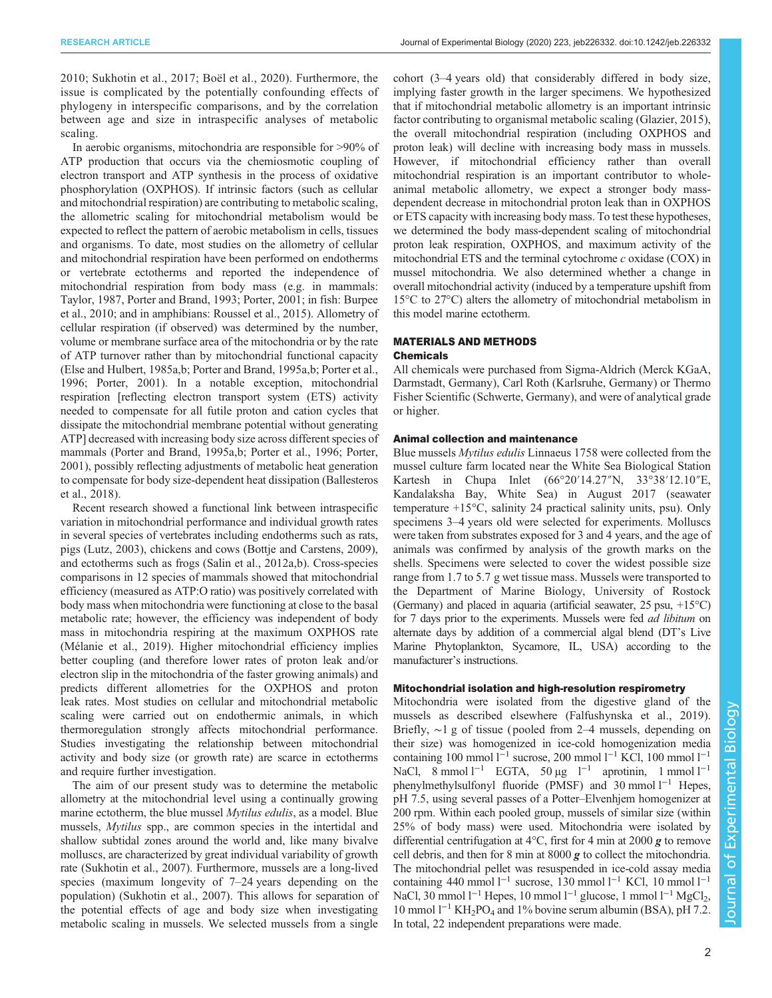[2010;](#page-7-0) [Sukhotin et al., 2017](#page-8-0); Boёl et al., 2020). Furthermore, the issue is complicated by the potentially confounding effects of phylogeny in interspecific comparisons, and by the correlation between age and size in intraspecific analyses of metabolic scaling.

In aerobic organisms, mitochondria are responsible for >90% of ATP production that occurs via the chemiosmotic coupling of electron transport and ATP synthesis in the process of oxidative phosphorylation (OXPHOS). If intrinsic factors (such as cellular and mitochondrial respiration) are contributing to metabolic scaling, the allometric scaling for mitochondrial metabolism would be expected to reflect the pattern of aerobic metabolism in cells, tissues and organisms. To date, most studies on the allometry of cellular and mitochondrial respiration have been performed on endotherms or vertebrate ectotherms and reported the independence of mitochondrial respiration from body mass (e.g. in mammals: [Taylor, 1987](#page-8-0), [Porter and Brand, 1993](#page-8-0); [Porter, 2001](#page-8-0); in fish: [Burpee](#page-7-0) [et al., 2010](#page-7-0); and in amphibians: [Roussel et al., 2015](#page-8-0)). Allometry of cellular respiration (if observed) was determined by the number, volume or membrane surface area of the mitochondria or by the rate of ATP turnover rather than by mitochondrial functional capacity [\(Else and Hulbert, 1985a](#page-7-0),[b](#page-7-0); [Porter and Brand, 1995a,b; Porter et al.,](#page-8-0) [1996](#page-8-0); [Porter, 2001\)](#page-8-0). In a notable exception, mitochondrial respiration [reflecting electron transport system (ETS) activity needed to compensate for all futile proton and cation cycles that dissipate the mitochondrial membrane potential without generating ATP] decreased with increasing body size across different species of mammals [\(Porter and Brand, 1995a,b](#page-8-0); [Porter et al., 1996; Porter,](#page-8-0) [2001](#page-8-0)), possibly reflecting adjustments of metabolic heat generation to compensate for body size-dependent heat dissipation ([Ballesteros](#page-7-0) [et al., 2018\)](#page-7-0).

Recent research showed a functional link between intraspecific variation in mitochondrial performance and individual growth rates in several species of vertebrates including endotherms such as rats, pigs ([Lutz, 2003\)](#page-7-0), chickens and cows [\(Bottje and Carstens, 2009\)](#page-7-0), and ectotherms such as frogs [\(Salin et al., 2012a](#page-8-0),[b](#page-8-0)). Cross-species comparisons in 12 species of mammals showed that mitochondrial efficiency (measured as ATP:O ratio) was positively correlated with body mass when mitochondria were functioning at close to the basal metabolic rate; however, the efficiency was independent of body mass in mitochondria respiring at the maximum OXPHOS rate [\(Mélanie et al., 2019\)](#page-7-0). Higher mitochondrial efficiency implies better coupling (and therefore lower rates of proton leak and/or electron slip in the mitochondria of the faster growing animals) and predicts different allometries for the OXPHOS and proton leak rates. Most studies on cellular and mitochondrial metabolic scaling were carried out on endothermic animals, in which thermoregulation strongly affects mitochondrial performance. Studies investigating the relationship between mitochondrial activity and body size (or growth rate) are scarce in ectotherms and require further investigation.

The aim of our present study was to determine the metabolic allometry at the mitochondrial level using a continually growing marine ectotherm, the blue mussel Mytilus edulis, as a model. Blue mussels, Mytilus spp., are common species in the intertidal and shallow subtidal zones around the world and, like many bivalve molluscs, are characterized by great individual variability of growth rate ([Sukhotin et al., 2007\)](#page-8-0). Furthermore, mussels are a long-lived species (maximum longevity of 7–24 years depending on the population) ([Sukhotin et al., 2007](#page-8-0)). This allows for separation of the potential effects of age and body size when investigating metabolic scaling in mussels. We selected mussels from a single

cohort (3–4 years old) that considerably differed in body size, implying faster growth in the larger specimens. We hypothesized that if mitochondrial metabolic allometry is an important intrinsic factor contributing to organismal metabolic scaling ([Glazier, 2015\)](#page-7-0), the overall mitochondrial respiration (including OXPHOS and proton leak) will decline with increasing body mass in mussels. However, if mitochondrial efficiency rather than overall mitochondrial respiration is an important contributor to wholeanimal metabolic allometry, we expect a stronger body massdependent decrease in mitochondrial proton leak than in OXPHOS or ETS capacity with increasing body mass. To test these hypotheses, we determined the body mass-dependent scaling of mitochondrial proton leak respiration, OXPHOS, and maximum activity of the mitochondrial ETS and the terminal cytochrome c oxidase (COX) in mussel mitochondria. We also determined whether a change in overall mitochondrial activity (induced by a temperature upshift from 15°C to 27°C) alters the allometry of mitochondrial metabolism in this model marine ectotherm.

## MATERIALS AND METHODS Chemicals

All chemicals were purchased from Sigma-Aldrich (Merck KGaA, Darmstadt, Germany), Carl Roth (Karlsruhe, Germany) or Thermo Fisher Scientific (Schwerte, Germany), and were of analytical grade or higher.

# Animal collection and maintenance

Blue mussels Mytilus edulis Linnaeus 1758 were collected from the mussel culture farm located near the White Sea Biological Station Kartesh in Chupa Inlet (66°20′14.27″N, 33°38′12.10″E, Kandalaksha Bay, White Sea) in August 2017 (seawater temperature +15°C, salinity 24 practical salinity units, psu). Only specimens 3–4 years old were selected for experiments. Molluscs were taken from substrates exposed for 3 and 4 years, and the age of animals was confirmed by analysis of the growth marks on the shells. Specimens were selected to cover the widest possible size range from 1.7 to 5.7 g wet tissue mass. Mussels were transported to the Department of Marine Biology, University of Rostock (Germany) and placed in aquaria (artificial seawater,  $25$  psu,  $+15^{\circ}$ C) for 7 days prior to the experiments. Mussels were fed ad libitum on alternate days by addition of a commercial algal blend (DT's Live Marine Phytoplankton, Sycamore, IL, USA) according to the manufacturer's instructions.

## Mitochondrial isolation and high-resolution respirometry

Mitochondria were isolated from the digestive gland of the mussels as described elsewhere ([Falfushynska et al., 2019\)](#page-7-0). Briefly, ∼1 g of tissue ( pooled from 2–4 mussels, depending on their size) was homogenized in ice-cold homogenization media containing 100 mmol l−<sup>1</sup> sucrose, 200 mmol l−<sup>1</sup> KCl, 100 mmol l−<sup>1</sup> NaCl,  $8$  mmol l<sup>−1</sup> EGTA, 50 μg l<sup>−1</sup> aprotinin, 1 mmol l<sup>−1</sup> phenylmethylsulfonyl fluoride (PMSF) and 30 mmol l<sup>-1</sup> Hepes, pH 7.5, using several passes of a Potter–Elvenhjem homogenizer at 200 rpm. Within each pooled group, mussels of similar size (within 25% of body mass) were used. Mitochondria were isolated by differential centrifugation at 4 $\degree$ C, first for 4 min at 2000 g to remove cell debris, and then for 8 min at 8000 g to collect the mitochondria. The mitochondrial pellet was resuspended in ice-cold assay media containing 440 mmol  $l^{-1}$  sucrose, 130 mmol  $l^{-1}$  KCl, 10 mmol  $l^{-1}$ NaCl, 30 mmol l<sup>-1</sup> Hepes, 10 mmol l<sup>-1</sup> glucose, 1 mmol l<sup>-1</sup> MgCl<sub>2</sub>, 10 mmol  $1^{-1}$  KH<sub>2</sub>PO<sub>4</sub> and 1% bovine serum albumin (BSA), pH 7.2. In total, 22 independent preparations were made.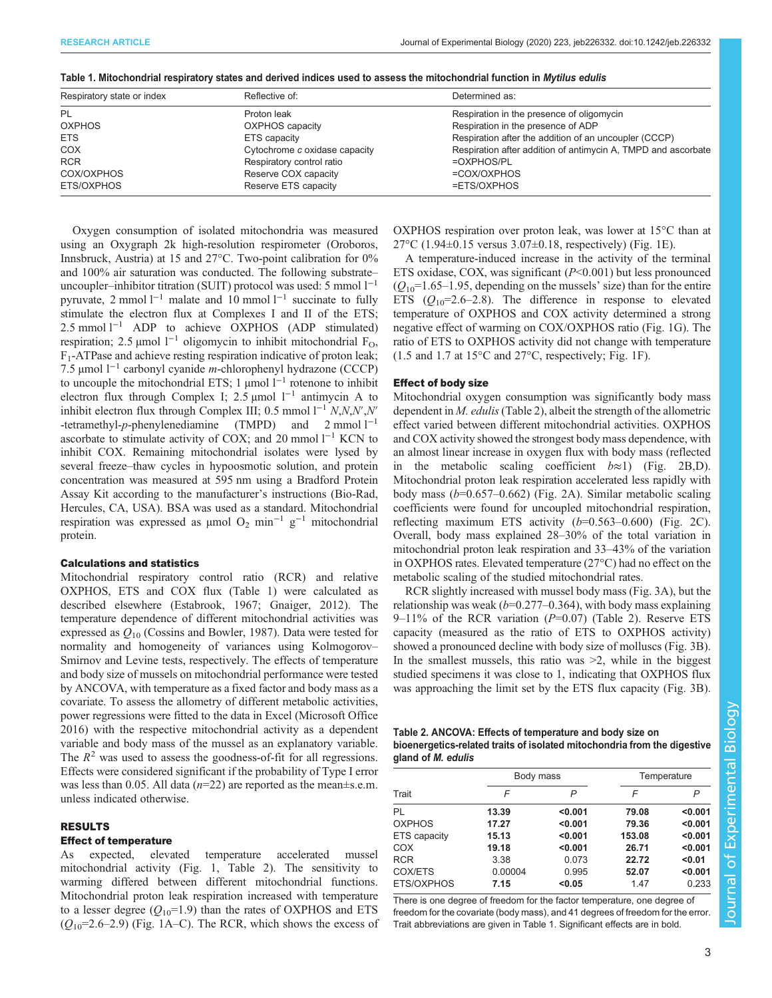| Respiratory state or index | Reflective of:                | Determined as:<br>Respiration in the presence of oligomycin   |  |
|----------------------------|-------------------------------|---------------------------------------------------------------|--|
| PL                         | Proton leak                   |                                                               |  |
| <b>OXPHOS</b>              | <b>OXPHOS</b> capacity        | Respiration in the presence of ADP                            |  |
| <b>ETS</b>                 | ETS capacity                  | Respiration after the addition of an uncoupler (CCCP)         |  |
| <b>COX</b>                 | Cytochrome c oxidase capacity | Respiration after addition of antimycin A, TMPD and ascorbate |  |
| <b>RCR</b>                 | Respiratory control ratio     | $=$ OXPHOS/PL                                                 |  |
| COX/OXPHOS                 | Reserve COX capacity          | $=COX/OXPHOS$                                                 |  |
| ETS/OXPHOS                 | Reserve ETS capacity          | =ETS/OXPHOS                                                   |  |

Table 1. Mitochondrial respiratory states and derived indices used to assess the mitochondrial function in Mytilus edulis

Oxygen consumption of isolated mitochondria was measured using an Oxygraph 2k high-resolution respirometer (Oroboros, Innsbruck, Austria) at 15 and 27°C. Two-point calibration for 0% and 100% air saturation was conducted. The following substrate– uncoupler–inhibitor titration (SUIT) protocol was used: 5 mmol  $1^{-1}$ pyruvate, 2 mmol l−<sup>1</sup> malate and 10 mmol l−<sup>1</sup> succinate to fully stimulate the electron flux at Complexes I and II of the ETS; 2.5 mmol l<sup>-1</sup> ADP to achieve OXPHOS (ADP stimulated) respiration; 2.5 µmol  $l^{-1}$  oligomycin to inhibit mitochondrial  $F_{\Omega}$ ,  $F_1$ -ATPase and achieve resting respiration indicative of proton leak; 7.5 µmol l−<sup>1</sup> carbonyl cyanide m-chlorophenyl hydrazone (CCCP) to uncouple the mitochondrial ETS; 1 µmol  $l^{-1}$  rotenone to inhibit electron flux through Complex I; 2.5 µmol l−<sup>1</sup> antimycin A to inhibit electron flux through Complex III; 0.5 mmol  $1^{-1}$  N,N,N',N' -tetramethyl-p-phenylenediamine (TMPD) and 2 mmol  $l^{-1}$ ascorbate to stimulate activity of COX; and 20 mmol  $l^{-1}$  KCN to inhibit COX. Remaining mitochondrial isolates were lysed by several freeze–thaw cycles in hypoosmotic solution, and protein concentration was measured at 595 nm using a Bradford Protein Assay Kit according to the manufacturer's instructions (Bio-Rad, Hercules, CA, USA). BSA was used as a standard. Mitochondrial respiration was expressed as  $\mu$ mol O<sub>2</sub> min<sup>-1</sup> g<sup>-1</sup> mitochondrial protein.

## Calculations and statistics

Mitochondrial respiratory control ratio (RCR) and relative OXPHOS, ETS and COX flux (Table 1) were calculated as described elsewhere [\(Estabrook, 1967; Gnaiger, 2012\)](#page-7-0). The temperature dependence of different mitochondrial activities was expressed as  $Q_{10}$  [\(Cossins and Bowler, 1987\)](#page-7-0). Data were tested for normality and homogeneity of variances using Kolmogorov– Smirnov and Levine tests, respectively. The effects of temperature and body size of mussels on mitochondrial performance were tested by ANCOVA, with temperature as a fixed factor and body mass as a covariate. To assess the allometry of different metabolic activities, power regressions were fitted to the data in Excel (Microsoft Office 2016) with the respective mitochondrial activity as a dependent variable and body mass of the mussel as an explanatory variable. The  $R^2$  was used to assess the goodness-of-fit for all regressions. Effects were considered significant if the probability of Type I error was less than 0.05. All data ( $n=22$ ) are reported as the mean $\pm$ s.e.m. unless indicated otherwise.

## RESULTS

# Effect of temperature

As expected, elevated temperature accelerated mussel mitochondrial activity [\(Fig. 1,](#page-3-0) Table 2). The sensitivity to warming differed between different mitochondrial functions. Mitochondrial proton leak respiration increased with temperature to a lesser degree  $(Q_{10} = 1.9)$  than the rates of OXPHOS and ETS  $(Q_{10}=2.6-2.9)$  ([Fig. 1A](#page-3-0)–C). The RCR, which shows the excess of OXPHOS respiration over proton leak, was lower at 15°C than at 27°C (1.94±0.15 versus 3.07±0.18, respectively) ([Fig. 1](#page-3-0)E).

A temperature-induced increase in the activity of the terminal ETS oxidase, COX, was significant  $(P<0.001)$  but less pronounced  $(Q_{10}=1.65-1.95$ , depending on the mussels' size) than for the entire ETS  $(Q_{10}=2.6-2.8)$ . The difference in response to elevated temperature of OXPHOS and COX activity determined a strong negative effect of warming on COX/OXPHOS ratio [\(Fig. 1G](#page-3-0)). The ratio of ETS to OXPHOS activity did not change with temperature (1.5 and 1.7 at 15°C and 27°C, respectively; [Fig. 1F](#page-3-0)).

#### Effect of body size

Mitochondrial oxygen consumption was significantly body mass dependent in *M. edulis* (Table 2), albeit the strength of the allometric effect varied between different mitochondrial activities. OXPHOS and COX activity showed the strongest body mass dependence, with an almost linear increase in oxygen flux with body mass (reflected in the metabolic scaling coefficient  $b \approx 1$ ) ([Fig. 2B](#page-4-0),D). Mitochondrial proton leak respiration accelerated less rapidly with body mass  $(b=0.657-0.662)$  [\(Fig. 2](#page-4-0)A). Similar metabolic scaling coefficients were found for uncoupled mitochondrial respiration, reflecting maximum ETS activity  $(b=0.563-0.600)$  ([Fig. 2](#page-4-0)C). Overall, body mass explained 28–30% of the total variation in mitochondrial proton leak respiration and 33–43% of the variation in OXPHOS rates. Elevated temperature (27°C) had no effect on the metabolic scaling of the studied mitochondrial rates.

RCR slightly increased with mussel body mass [\(Fig. 3](#page-4-0)A), but the relationship was weak  $(b=0.277-0.364)$ , with body mass explaining  $9-11\%$  of the RCR variation ( $P=0.07$ ) (Table 2). Reserve ETS capacity (measured as the ratio of ETS to OXPHOS activity) showed a pronounced decline with body size of molluscs [\(Fig. 3](#page-4-0)B). In the smallest mussels, this ratio was  $\geq 2$ , while in the biggest studied specimens it was close to 1, indicating that OXPHOS flux was approaching the limit set by the ETS flux capacity [\(Fig. 3](#page-4-0)B).

## Table 2. ANCOVA: Effects of temperature and body size on bioenergetics-related traits of isolated mitochondria from the digestive gland of M. edulis

| Trait               | Body mass |         | Temperature |         |
|---------------------|-----------|---------|-------------|---------|
|                     | F         | P       | F           | P       |
| PL                  | 13.39     | < 0.001 | 79.08       | < 0.001 |
| <b>OXPHOS</b>       | 17.27     | < 0.001 | 79.36       | < 0.001 |
| <b>ETS</b> capacity | 15.13     | < 0.001 | 153.08      | < 0.001 |
| COX                 | 19.18     | < 0.001 | 26.71       | < 0.001 |
| <b>RCR</b>          | 3.38      | 0.073   | 22.72       | < 0.01  |
| COX/ETS             | 0.00004   | 0.995   | 52.07       | < 0.001 |
| ETS/OXPHOS          | 7.15      | < 0.05  | 1.47        | 0.233   |

There is one degree of freedom for the factor temperature, one degree of freedom for the covariate (body mass), and 41 degrees of freedom for the error. Trait abbreviations are given in Table 1. Significant effects are in bold.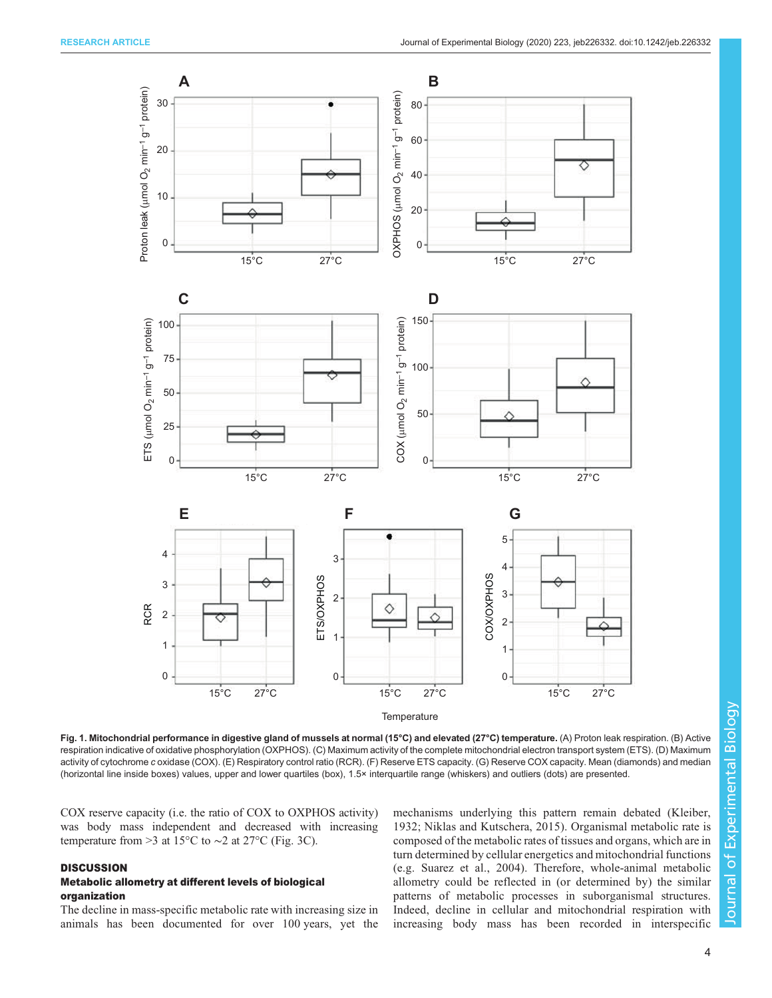<span id="page-3-0"></span>

Fig. 1. Mitochondrial performance in digestive gland of mussels at normal (15°C) and elevated (27°C) temperature. (A) Proton leak respiration. (B) Active respiration indicative of oxidative phosphorylation (OXPHOS). (C) Maximum activity of the complete mitochondrial electron transport system (ETS). (D) Maximum activity of cytochrome c oxidase (COX). (E) Respiratory control ratio (RCR). (F) Reserve ETS capacity. (G) Reserve COX capacity. Mean (diamonds) and median (horizontal line inside boxes) values, upper and lower quartiles (box), 1.5× interquartile range (whiskers) and outliers (dots) are presented.

COX reserve capacity (i.e. the ratio of COX to OXPHOS activity) was body mass independent and decreased with increasing temperature from >3 at 15 $\degree$ C to ~2 at 27 $\degree$ C [\(Fig. 3C](#page-4-0)).

## **DISCUSSION**

## Metabolic allometry at different levels of biological organization

The decline in mass-specific metabolic rate with increasing size in animals has been documented for over 100 years, yet the mechanisms underlying this pattern remain debated ([Kleiber,](#page-7-0) [1932](#page-7-0); [Niklas and Kutschera, 2015\)](#page-8-0). Organismal metabolic rate is composed of the metabolic rates of tissues and organs, which are in turn determined by cellular energetics and mitochondrial functions (e.g. [Suarez et al., 2004\)](#page-8-0). Therefore, whole-animal metabolic allometry could be reflected in (or determined by) the similar patterns of metabolic processes in suborganismal structures. Indeed, decline in cellular and mitochondrial respiration with increasing body mass has been recorded in interspecific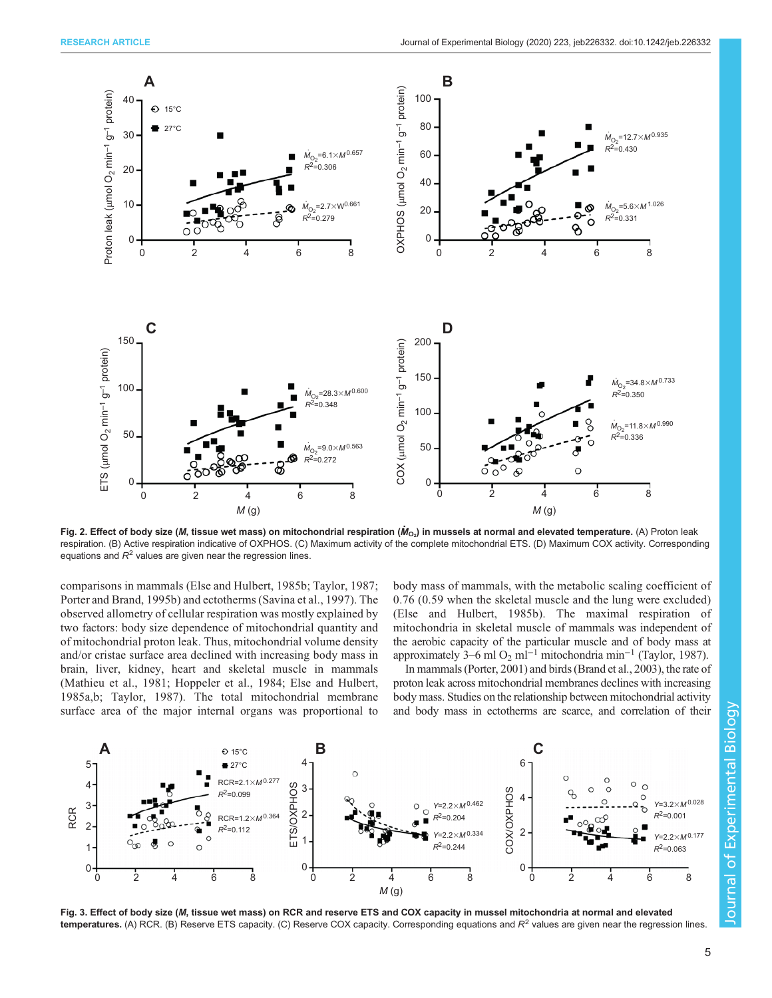<span id="page-4-0"></span>

Fig. 2. Effect of body size (*M*, tissue wet mass) on mitochondrial respiration ( $\dot M_{\rm O_2}$ ) in mussels at normal and elevated temperature. (A) Proton leak respiration. (B) Active respiration indicative of OXPHOS. (C) Maximum activity of the complete mitochondrial ETS. (D) Maximum COX activity. Corresponding equations and  $R^2$  values are given near the regression lines.

comparisons in mammals ([Else and Hulbert, 1985b;](#page-7-0) [Taylor, 1987](#page-8-0); [Porter and Brand, 1995b](#page-8-0)) and ectotherms [\(Savina et al., 1997\)](#page-8-0). The observed allometry of cellular respiration was mostly explained by two factors: body size dependence of mitochondrial quantity and of mitochondrial proton leak. Thus, mitochondrial volume density and/or cristae surface area declined with increasing body mass in brain, liver, kidney, heart and skeletal muscle in mammals [\(Mathieu et al., 1981](#page-7-0); [Hoppeler et al., 1984; Else and Hulbert,](#page-7-0) [1985a,b;](#page-7-0) [Taylor, 1987\)](#page-8-0). The total mitochondrial membrane surface area of the major internal organs was proportional to body mass of mammals, with the metabolic scaling coefficient of 0.76 (0.59 when the skeletal muscle and the lung were excluded) [\(Else and Hulbert, 1985b](#page-7-0)). The maximal respiration of mitochondria in skeletal muscle of mammals was independent of the aerobic capacity of the particular muscle and of body mass at approximately 3–6 ml O<sub>2</sub> ml<sup>-1</sup> mitochondria min<sup>-1</sup> [\(Taylor, 1987](#page-8-0)).

In mammals [\(Porter, 2001\)](#page-8-0) and birds [\(Brand et al., 2003\)](#page-7-0), the rate of proton leak across mitochondrial membranes declines with increasing body mass. Studies on the relationship between mitochondrial activity and body mass in ectotherms are scarce, and correlation of their



Fig. 3. Effect of body size (M, tissue wet mass) on RCR and reserve ETS and COX capacity in mussel mitochondria at normal and elevated **temperatures.** (A) RCR. (B) Reserve ETS capacity. (C) Reserve COX capacity. Corresponding equations and  $R<sup>2</sup>$  values are given near the regression lines.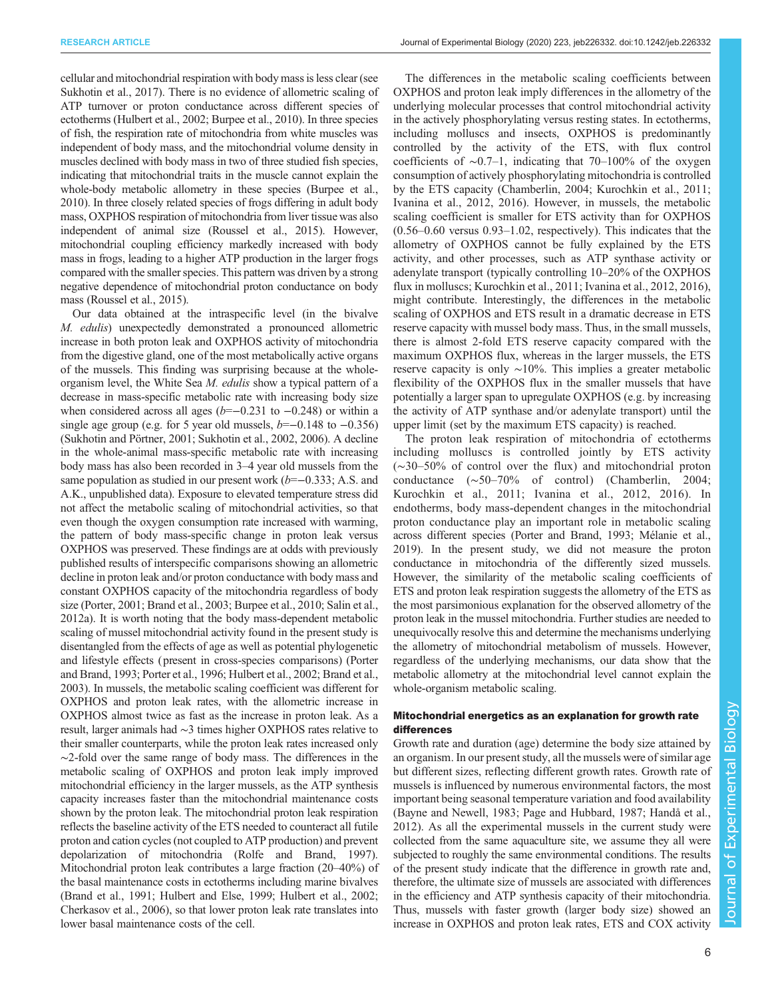cellular and mitochondrial respiration with body mass is less clear (see [Sukhotin et al., 2017\)](#page-8-0). There is no evidence of allometric scaling of ATP turnover or proton conductance across different species of ectotherms [\(Hulbert et al., 2002](#page-7-0); [Burpee et al., 2010\)](#page-7-0). In three species of fish, the respiration rate of mitochondria from white muscles was independent of body mass, and the mitochondrial volume density in muscles declined with body mass in two of three studied fish species, indicating that mitochondrial traits in the muscle cannot explain the whole-body metabolic allometry in these species [\(Burpee et al.,](#page-7-0) [2010\)](#page-7-0). In three closely related species of frogs differing in adult body mass, OXPHOS respiration of mitochondria from liver tissue was also independent of animal size [\(Roussel et al., 2015\)](#page-8-0). However, mitochondrial coupling efficiency markedly increased with body mass in frogs, leading to a higher ATP production in the larger frogs compared with the smaller species. This pattern was driven by a strong negative dependence of mitochondrial proton conductance on body mass ([Roussel et al., 2015\)](#page-8-0).

Our data obtained at the intraspecific level (in the bivalve M. edulis) unexpectedly demonstrated a pronounced allometric increase in both proton leak and OXPHOS activity of mitochondria from the digestive gland, one of the most metabolically active organs of the mussels. This finding was surprising because at the wholeorganism level, the White Sea M. edulis show a typical pattern of a decrease in mass-specific metabolic rate with increasing body size when considered across all ages ( $b=-0.231$  to  $-0.248$ ) or within a single age group (e.g. for 5 year old mussels,  $b=-0.148$  to  $-0.356$ ) [\(Sukhotin and Pörtner, 2001; Sukhotin et al., 2002, 2006\)](#page-8-0). A decline in the whole-animal mass-specific metabolic rate with increasing body mass has also been recorded in 3–4 year old mussels from the same population as studied in our present work  $(b=-0.333; A.S.$  and A.K., unpublished data). Exposure to elevated temperature stress did not affect the metabolic scaling of mitochondrial activities, so that even though the oxygen consumption rate increased with warming, the pattern of body mass-specific change in proton leak versus OXPHOS was preserved. These findings are at odds with previously published results of interspecific comparisons showing an allometric decline in proton leak and/or proton conductance with body mass and constant OXPHOS capacity of the mitochondria regardless of body size [\(Porter, 2001](#page-8-0); [Brand et al., 2003](#page-7-0); [Burpee et al., 2010;](#page-7-0) [Salin et al.,](#page-8-0) [2012a\)](#page-8-0). It is worth noting that the body mass-dependent metabolic scaling of mussel mitochondrial activity found in the present study is disentangled from the effects of age as well as potential phylogenetic and lifestyle effects (present in cross-species comparisons) ([Porter](#page-8-0) [and Brand, 1993; Porter et al., 1996;](#page-8-0) [Hulbert et al., 2002; Brand et al.,](#page-7-0) [2003\)](#page-7-0). In mussels, the metabolic scaling coefficient was different for OXPHOS and proton leak rates, with the allometric increase in OXPHOS almost twice as fast as the increase in proton leak. As a result, larger animals had ∼3 times higher OXPHOS rates relative to their smaller counterparts, while the proton leak rates increased only ∼2-fold over the same range of body mass. The differences in the metabolic scaling of OXPHOS and proton leak imply improved mitochondrial efficiency in the larger mussels, as the ATP synthesis capacity increases faster than the mitochondrial maintenance costs shown by the proton leak. The mitochondrial proton leak respiration reflects the baseline activity of the ETS needed to counteract all futile proton and cation cycles (not coupled to ATP production) and prevent depolarization of mitochondria ([Rolfe and Brand, 1997\)](#page-8-0). Mitochondrial proton leak contributes a large fraction (20–40%) of the basal maintenance costs in ectotherms including marine bivalves [\(Brand et al., 1991; Hulbert and Else, 1999; Hulbert et al., 2002](#page-7-0); [Cherkasov et al., 2006](#page-7-0)), so that lower proton leak rate translates into lower basal maintenance costs of the cell.

The differences in the metabolic scaling coefficients between OXPHOS and proton leak imply differences in the allometry of the underlying molecular processes that control mitochondrial activity in the actively phosphorylating versus resting states. In ectotherms, including molluscs and insects, OXPHOS is predominantly controlled by the activity of the ETS, with flux control coefficients of ∼0.7–1, indicating that 70–100% of the oxygen consumption of actively phosphorylating mitochondria is controlled by the ETS capacity ([Chamberlin, 2004](#page-7-0); [Kurochkin et al., 2011](#page-7-0); [Ivanina et al., 2012](#page-7-0), [2016\)](#page-7-0). However, in mussels, the metabolic scaling coefficient is smaller for ETS activity than for OXPHOS (0.56–0.60 versus 0.93–1.02, respectively). This indicates that the allometry of OXPHOS cannot be fully explained by the ETS activity, and other processes, such as ATP synthase activity or adenylate transport (typically controlling 10–20% of the OXPHOS flux in molluscs; [Kurochkin et al., 2011](#page-7-0); [Ivanina et al., 2012](#page-7-0), [2016\)](#page-7-0), might contribute. Interestingly, the differences in the metabolic scaling of OXPHOS and ETS result in a dramatic decrease in ETS reserve capacity with mussel body mass. Thus, in the small mussels, there is almost 2-fold ETS reserve capacity compared with the maximum OXPHOS flux, whereas in the larger mussels, the ETS reserve capacity is only ∼10%. This implies a greater metabolic flexibility of the OXPHOS flux in the smaller mussels that have potentially a larger span to upregulate OXPHOS (e.g. by increasing the activity of ATP synthase and/or adenylate transport) until the upper limit (set by the maximum ETS capacity) is reached.

The proton leak respiration of mitochondria of ectotherms including molluscs is controlled jointly by ETS activity (∼30–50% of control over the flux) and mitochondrial proton conductance (∼50–70% of control) ([Chamberlin, 2004](#page-7-0); [Kurochkin et al., 2011; Ivanina et al., 2012, 2016\)](#page-7-0). In endotherms, body mass-dependent changes in the mitochondrial proton conductance play an important role in metabolic scaling across different species [\(Porter and Brand, 1993](#page-8-0); [Mélanie et al.,](#page-7-0) [2019\)](#page-7-0). In the present study, we did not measure the proton conductance in mitochondria of the differently sized mussels. However, the similarity of the metabolic scaling coefficients of ETS and proton leak respiration suggests the allometry of the ETS as the most parsimonious explanation for the observed allometry of the proton leak in the mussel mitochondria. Further studies are needed to unequivocally resolve this and determine the mechanisms underlying the allometry of mitochondrial metabolism of mussels. However, regardless of the underlying mechanisms, our data show that the metabolic allometry at the mitochondrial level cannot explain the whole-organism metabolic scaling.

# Mitochondrial energetics as an explanation for growth rate differences

Growth rate and duration (age) determine the body size attained by an organism. In our present study, all the mussels were of similar age but different sizes, reflecting different growth rates. Growth rate of mussels is influenced by numerous environmental factors, the most important being seasonal temperature variation and food availability [\(Bayne and Newell, 1983](#page-7-0); [Page and Hubbard, 1987;](#page-8-0) [Handå et al.,](#page-7-0) [2012\)](#page-7-0). As all the experimental mussels in the current study were collected from the same aquaculture site, we assume they all were subjected to roughly the same environmental conditions. The results of the present study indicate that the difference in growth rate and, therefore, the ultimate size of mussels are associated with differences in the efficiency and ATP synthesis capacity of their mitochondria. Thus, mussels with faster growth (larger body size) showed an increase in OXPHOS and proton leak rates, ETS and COX activity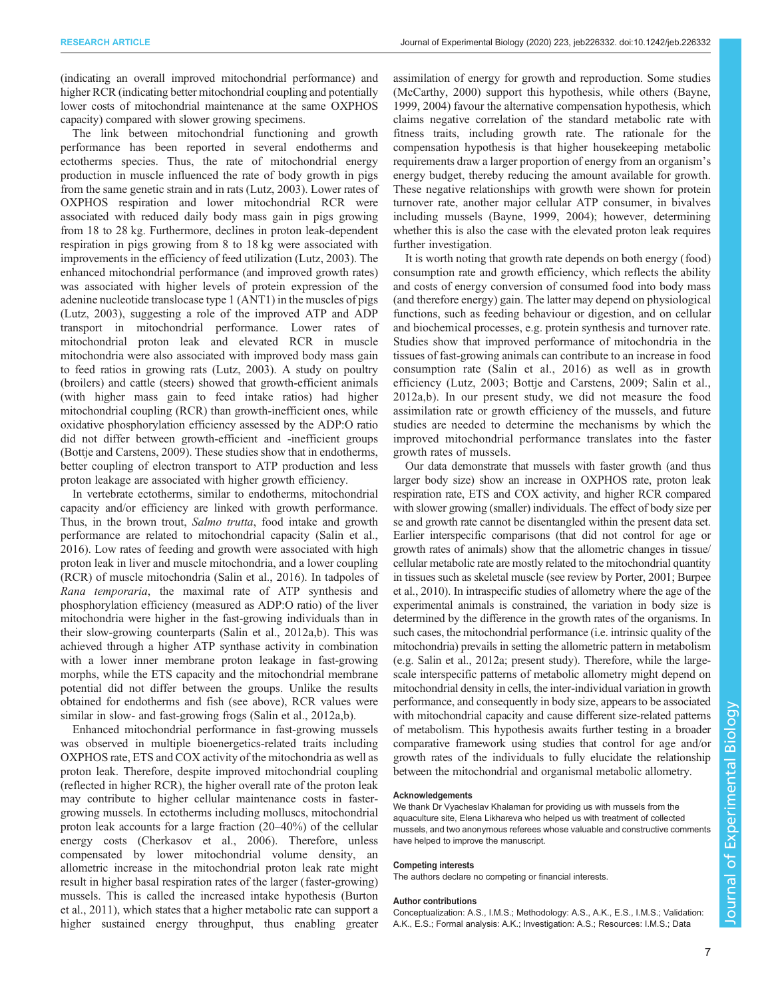(indicating an overall improved mitochondrial performance) and higher RCR (indicating better mitochondrial coupling and potentially lower costs of mitochondrial maintenance at the same OXPHOS capacity) compared with slower growing specimens.

The link between mitochondrial functioning and growth performance has been reported in several endotherms and ectotherms species. Thus, the rate of mitochondrial energy production in muscle influenced the rate of body growth in pigs from the same genetic strain and in rats [\(Lutz, 2003](#page-7-0)). Lower rates of OXPHOS respiration and lower mitochondrial RCR were associated with reduced daily body mass gain in pigs growing from 18 to 28 kg. Furthermore, declines in proton leak-dependent respiration in pigs growing from 8 to 18 kg were associated with improvements in the efficiency of feed utilization [\(Lutz, 2003\)](#page-7-0). The enhanced mitochondrial performance (and improved growth rates) was associated with higher levels of protein expression of the adenine nucleotide translocase type 1 (ANT1) in the muscles of pigs [\(Lutz, 2003\)](#page-7-0), suggesting a role of the improved ATP and ADP transport in mitochondrial performance. Lower rates of mitochondrial proton leak and elevated RCR in muscle mitochondria were also associated with improved body mass gain to feed ratios in growing rats [\(Lutz, 2003](#page-7-0)). A study on poultry (broilers) and cattle (steers) showed that growth-efficient animals (with higher mass gain to feed intake ratios) had higher mitochondrial coupling (RCR) than growth-inefficient ones, while oxidative phosphorylation efficiency assessed by the ADP:O ratio did not differ between growth-efficient and -inefficient groups [\(Bottje and Carstens, 2009](#page-7-0)). These studies show that in endotherms, better coupling of electron transport to ATP production and less proton leakage are associated with higher growth efficiency.

In vertebrate ectotherms, similar to endotherms, mitochondrial capacity and/or efficiency are linked with growth performance. Thus, in the brown trout, Salmo trutta, food intake and growth performance are related to mitochondrial capacity [\(Salin et al.,](#page-8-0) [2016](#page-8-0)). Low rates of feeding and growth were associated with high proton leak in liver and muscle mitochondria, and a lower coupling (RCR) of muscle mitochondria ([Salin et al., 2016\)](#page-8-0). In tadpoles of Rana temporaria, the maximal rate of ATP synthesis and phosphorylation efficiency (measured as ADP:O ratio) of the liver mitochondria were higher in the fast-growing individuals than in their slow-growing counterparts [\(Salin et al., 2012a,b](#page-8-0)). This was achieved through a higher ATP synthase activity in combination with a lower inner membrane proton leakage in fast-growing morphs, while the ETS capacity and the mitochondrial membrane potential did not differ between the groups. Unlike the results obtained for endotherms and fish (see above), RCR values were similar in slow- and fast-growing frogs [\(Salin et al., 2012a,b](#page-8-0)).

Enhanced mitochondrial performance in fast-growing mussels was observed in multiple bioenergetics-related traits including OXPHOS rate, ETS and COX activity of the mitochondria as well as proton leak. Therefore, despite improved mitochondrial coupling (reflected in higher RCR), the higher overall rate of the proton leak may contribute to higher cellular maintenance costs in fastergrowing mussels. In ectotherms including molluscs, mitochondrial proton leak accounts for a large fraction (20–40%) of the cellular energy costs [\(Cherkasov et al., 2006](#page-7-0)). Therefore, unless compensated by lower mitochondrial volume density, an allometric increase in the mitochondrial proton leak rate might result in higher basal respiration rates of the larger (faster-growing) mussels. This is called the increased intake hypothesis ([Burton](#page-7-0) [et al., 2011\)](#page-7-0), which states that a higher metabolic rate can support a higher sustained energy throughput, thus enabling greater

assimilation of energy for growth and reproduction. Some studies [\(McCarthy, 2000\)](#page-7-0) support this hypothesis, while others ([Bayne,](#page-7-0) [1999, 2004\)](#page-7-0) favour the alternative compensation hypothesis, which claims negative correlation of the standard metabolic rate with fitness traits, including growth rate. The rationale for the compensation hypothesis is that higher housekeeping metabolic requirements draw a larger proportion of energy from an organism's energy budget, thereby reducing the amount available for growth. These negative relationships with growth were shown for protein turnover rate, another major cellular ATP consumer, in bivalves including mussels ([Bayne, 1999, 2004](#page-7-0)); however, determining whether this is also the case with the elevated proton leak requires further investigation.

It is worth noting that growth rate depends on both energy (food) consumption rate and growth efficiency, which reflects the ability and costs of energy conversion of consumed food into body mass (and therefore energy) gain. The latter may depend on physiological functions, such as feeding behaviour or digestion, and on cellular and biochemical processes, e.g. protein synthesis and turnover rate. Studies show that improved performance of mitochondria in the tissues of fast-growing animals can contribute to an increase in food consumption rate [\(Salin et al., 2016\)](#page-8-0) as well as in growth efficiency [\(Lutz, 2003; Bottje and Carstens, 2009](#page-7-0); [Salin et al.,](#page-8-0) [2012a,b\)](#page-8-0). In our present study, we did not measure the food assimilation rate or growth efficiency of the mussels, and future studies are needed to determine the mechanisms by which the improved mitochondrial performance translates into the faster growth rates of mussels.

Our data demonstrate that mussels with faster growth (and thus larger body size) show an increase in OXPHOS rate, proton leak respiration rate, ETS and COX activity, and higher RCR compared with slower growing (smaller) individuals. The effect of body size per se and growth rate cannot be disentangled within the present data set. Earlier interspecific comparisons (that did not control for age or growth rates of animals) show that the allometric changes in tissue/ cellular metabolic rate are mostly related to the mitochondrial quantity in tissues such as skeletal muscle (see review by [Porter, 2001;](#page-8-0) [Burpee](#page-7-0) [et al., 2010](#page-7-0)). In intraspecific studies of allometry where the age of the experimental animals is constrained, the variation in body size is determined by the difference in the growth rates of the organisms. In such cases, the mitochondrial performance (i.e. intrinsic quality of the mitochondria) prevails in setting the allometric pattern in metabolism (e.g. [Salin et al., 2012a](#page-8-0); present study). Therefore, while the largescale interspecific patterns of metabolic allometry might depend on mitochondrial density in cells, the inter-individual variation in growth performance, and consequently in body size, appears to be associated with mitochondrial capacity and cause different size-related patterns of metabolism. This hypothesis awaits further testing in a broader comparative framework using studies that control for age and/or growth rates of the individuals to fully elucidate the relationship between the mitochondrial and organismal metabolic allometry.

#### Acknowledgements

We thank Dr Vyacheslav Khalaman for providing us with mussels from the aquaculture site, Elena Likhareva who helped us with treatment of collected mussels, and two anonymous referees whose valuable and constructive comments have helped to improve the manuscript.

## Competing interests

The authors declare no competing or financial interests.

#### Author contributions

Conceptualization: A.S., I.M.S.; Methodology: A.S., A.K., E.S., I.M.S.; Validation: A.K., E.S.; Formal analysis: A.K.; Investigation: A.S.; Resources: I.M.S.; Data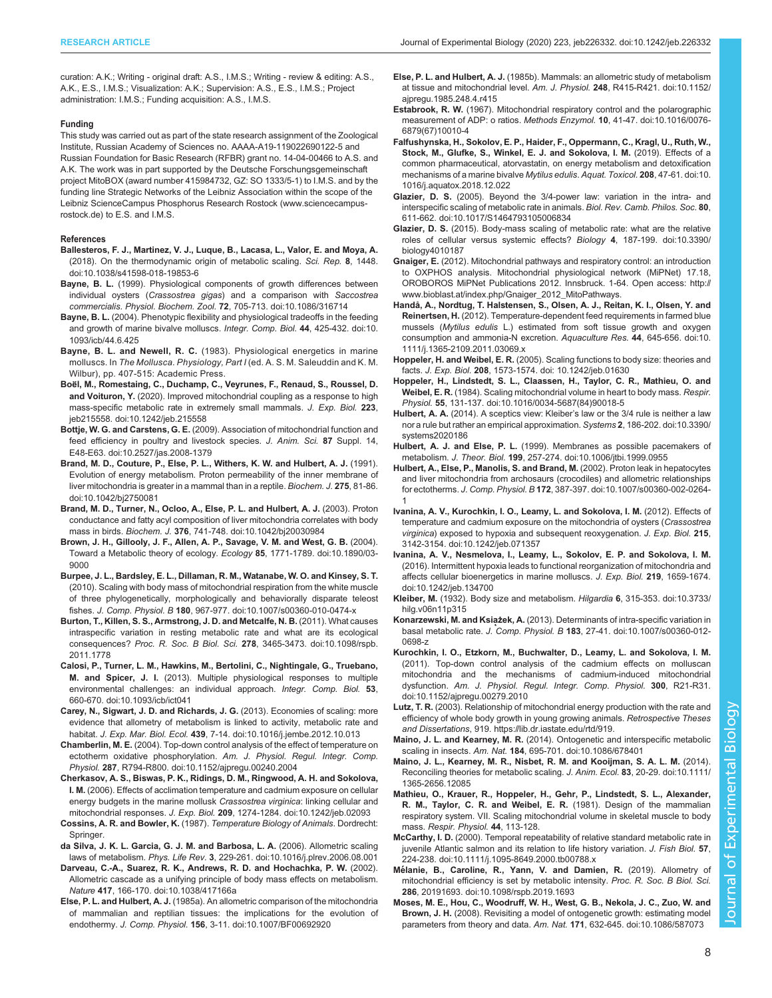<span id="page-7-0"></span>curation: A.K.; Writing - original draft: A.S., I.M.S.; Writing - review & editing: A.S., A.K., E.S., I.M.S.; Visualization: A.K.; Supervision: A.S., E.S., I.M.S.; Project administration: I.M.S.; Funding acquisition: A.S., I.M.S.

#### Funding

This study was carried out as part of the state research assignment of the Zoological Institute, Russian Academy of Sciences no. AAAA-A19-119022690122-5 and Russian Foundation for Basic Research (RFBR) grant no. 14-04-00466 to A.S. and A.K. The work was in part supported by the Deutsche Forschungsgemeinschaft project MitoBOX (award number 415984732, GZ: SO 1333/5-1) to I.M.S. and by the funding line Strategic Networks of the Leibniz Association within the scope of the Leibniz ScienceCampus Phosphorus Research Rostock ([www.sciencecampus](http://www.sciencecampus-rostock.de)[rostock.de\)](http://www.sciencecampus-rostock.de) to E.S. and I.M.S.

#### References

- [Ballesteros, F. J., Martinez, V. J., Luque, B., Lacasa, L., Valor, E. and Moya, A.](https://doi.org/10.1038/s41598-018-19853-6) [\(2018\). On the thermodynamic origin of metabolic scaling.](https://doi.org/10.1038/s41598-018-19853-6) Sci. Rep. 8, 1448. [doi:10.1038/s41598-018-19853-6](https://doi.org/10.1038/s41598-018-19853-6)
- Bayne, B. L. [\(1999\). Physiological components of growth differences between](https://doi.org/10.1086/316714) individual oysters (Crassostrea gigas[\) and a comparison with](https://doi.org/10.1086/316714) Saccostrea commercialis. Physiol. Biochem. Zool. 72[, 705-713. doi:10.1086/316714](https://doi.org/10.1086/316714)
- Bayne, B. L. [\(2004\). Phenotypic flexibility and physiological tradeoffs in the feeding](https://doi.org/10.1093/icb/44.6.425) [and growth of marine bivalve molluscs.](https://doi.org/10.1093/icb/44.6.425) Integr. Comp. Biol. 44, 425-432. doi:10. [1093/icb/44.6.425](https://doi.org/10.1093/icb/44.6.425)
- Bayne, B. L. and Newell, R. C. (1983). Physiological energetics in marine molluscs. In The Mollusca. Physiology, Part I (ed. A. S. M. Saleuddin and K. M. Wilbur), pp. 407-515: Academic Press.
- Boë[l, M., Romestaing, C., Duchamp, C., Veyrunes, F., Renaud, S., Roussel, D.](https://doi.org/10.1242/jeb.215558) and Voituron, Y. [\(2020\). Improved mitochondrial coupling as a response to high](https://doi.org/10.1242/jeb.215558) [mass-specific metabolic rate in extremely small mammals.](https://doi.org/10.1242/jeb.215558) J. Exp. Biol. 223, [jeb215558. doi:10.1242/jeb.215558](https://doi.org/10.1242/jeb.215558)
- Bottje, W. G. and Carstens, G. E. [\(2009\). Association of mitochondrial function and](https://doi.org/10.2527/jas.2008-1379) [feed efficiency in poultry and livestock species.](https://doi.org/10.2527/jas.2008-1379) J. Anim. Sci. 87 Suppl. 14, [E48-E63. doi:10.2527/jas.2008-1379](https://doi.org/10.2527/jas.2008-1379)
- [Brand, M. D., Couture, P., Else, P. L., Withers, K. W. and Hulbert, A. J.](https://doi.org/10.1042/bj2750081) (1991). [Evolution of energy metabolism. Proton permeability of the inner membrane of](https://doi.org/10.1042/bj2750081) [liver mitochondria is greater in a mammal than in a reptile.](https://doi.org/10.1042/bj2750081) Biochem. J. 275, 81-86. [doi:10.1042/bj2750081](https://doi.org/10.1042/bj2750081)
- [Brand, M. D., Turner, N., Ocloo, A., Else, P. L. and Hulbert, A. J.](https://doi.org/10.1042/bj20030984) (2003). Proton [conductance and fatty acyl composition of liver mitochondria correlates with body](https://doi.org/10.1042/bj20030984) mass in birds. Biochem. J. 376[, 741-748. doi:10.1042/bj20030984](https://doi.org/10.1042/bj20030984)
- [Brown, J. H., Gillooly, J. F., Allen, A. P., Savage, V. M. and West, G. B.](https://doi.org/10.1890/03-9000) (2004). [Toward a Metabolic theory of ecology.](https://doi.org/10.1890/03-9000) Ecology 85, 1771-1789. doi:10.1890/03- [9000](https://doi.org/10.1890/03-9000)
- [Burpee, J. L., Bardsley, E. L., Dillaman, R. M., Watanabe, W. O. and Kinsey, S. T.](https://doi.org/10.1007/s00360-010-0474-x) [\(2010\). Scaling with body mass of mitochondrial respiration from the white muscle](https://doi.org/10.1007/s00360-010-0474-x) [of three phylogenetically, morphologically and behaviorally disparate teleost](https://doi.org/10.1007/s00360-010-0474-x) fishes. J. Comp. Physiol. B 180[, 967-977. doi:10.1007/s00360-010-0474-x](https://doi.org/10.1007/s00360-010-0474-x)
- [Burton, T., Killen, S. S., Armstrong, J. D. and Metcalfe, N. B.](https://doi.org/10.1098/rspb.2011.1778) (2011). What causes [intraspecific variation in resting metabolic rate and what are its ecological](https://doi.org/10.1098/rspb.2011.1778) consequences? Proc. R. Soc. B Biol. Sci. 278[, 3465-3473. doi:10.1098/rspb.](https://doi.org/10.1098/rspb.2011.1778) [2011.1778](https://doi.org/10.1098/rspb.2011.1778)
- [Calosi, P., Turner, L. M., Hawkins, M., Bertolini, C., Nightingale, G., Truebano,](https://doi.org/10.1093/icb/ict041) M. and Spicer, J. I. [\(2013\). Multiple physiological responses to multiple](https://doi.org/10.1093/icb/ict041) [environmental challenges: an individual approach.](https://doi.org/10.1093/icb/ict041) Integr. Comp. Biol. 53, [660-670. doi:10.1093/icb/ict041](https://doi.org/10.1093/icb/ict041)
- [Carey, N., Sigwart, J. D. and Richards, J. G.](https://doi.org/10.1016/j.jembe.2012.10.013) (2013). Economies of scaling: more [evidence that allometry of metabolism is linked to activity, metabolic rate and](https://doi.org/10.1016/j.jembe.2012.10.013) habitat. J. Exp. Mar. Biol. Ecol. 439[, 7-14. doi:10.1016/j.jembe.2012.10.013](https://doi.org/10.1016/j.jembe.2012.10.013)
- Chamberlin, M. E. [\(2004\). Top-down control analysis of the effect of temperature on](https://doi.org/10.1152/ajpregu.00240.2004) ectotherm oxidative phosphorylation. [Am. J. Physiol. Regul. Integr. Comp.](https://doi.org/10.1152/ajpregu.00240.2004) Physiol. 287[, R794-R800. doi:10.1152/ajpregu.00240.2004](https://doi.org/10.1152/ajpregu.00240.2004)
- [Cherkasov, A. S., Biswas, P. K., Ridings, D. M., Ringwood, A. H. and Sokolova,](https://doi.org/10.1242/jeb.02093) I. M. [\(2006\). Effects of acclimation temperature and cadmium exposure on cellular](https://doi.org/10.1242/jeb.02093) [energy budgets in the marine mollusk](https://doi.org/10.1242/jeb.02093) Crassostrea virginica: linking cellular and mitochondrial responses. J. Exp. Biol. 209[, 1274-1284. doi:10.1242/jeb.02093](https://doi.org/10.1242/jeb.02093)
- Cossins, A. R. and Bowler, K. (1987). Temperature Biology of Animals. Dordrecht: Springer.
- [da Silva, J. K. L. Garcia, G. J. M. and Barbosa, L. A.](https://doi.org/10.1016/j.plrev.2006.08.001) (2006). Allometric scaling laws of metabolism. Phys. Life Rev. 3[, 229-261. doi:10.1016/j.plrev.2006.08.001](https://doi.org/10.1016/j.plrev.2006.08.001)
- [Darveau, C.-A., Suarez, R. K., Andrews, R. D. and Hochachka, P. W.](https://doi.org/10.1038/417166a) (2002). [Allometric cascade as a unifying principle of body mass effects on metabolism.](https://doi.org/10.1038/417166a) Nature 417[, 166-170. doi:10.1038/417166a](https://doi.org/10.1038/417166a)
- Else, P. L. and Hulbert, A. J. [\(1985a\). An allometric comparison of the mitochondria](https://doi.org/10.1007/BF00692920) [of mammalian and reptilian tissues: the implications for the evolution of](https://doi.org/10.1007/BF00692920) endothermy. J. Comp. Physiol. 156[, 3-11. doi:10.1007/BF00692920](https://doi.org/10.1007/BF00692920)
- Else, P. L. and Hulbert, A. J. [\(1985b\). Mammals: an allometric study of metabolism](https://doi.org/10.1152/ajpregu.1985.248.4.r415) [at tissue and mitochondrial level.](https://doi.org/10.1152/ajpregu.1985.248.4.r415) Am. J. Physiol. 248, R415-R421. doi:10.1152/ [ajpregu.1985.248.4.r415](https://doi.org/10.1152/ajpregu.1985.248.4.r415)
- Estabrook, R. W. [\(1967\). Mitochondrial respiratory control and the polarographic](https://doi.org/10.1016/0076-6879(67)10010-4) [measurement of ADP: o ratios.](https://doi.org/10.1016/0076-6879(67)10010-4) Methods Enzymol. 10, 41-47. doi:10.1016/0076- [6879\(67\)10010-4](https://doi.org/10.1016/0076-6879(67)10010-4)
- [Falfushynska, H., Sokolov, E. P., Haider, F., Oppermann, C., Kragl, U., Ruth, W.,](https://doi.org/10.1016/j.aquatox.2018.12.022) [Stock, M., Glufke, S., Winkel, E. J. and Sokolova, I. M.](https://doi.org/10.1016/j.aquatox.2018.12.022) (2019). Effects of a [common pharmaceutical, atorvastatin, on energy metabolism and detoxification](https://doi.org/10.1016/j.aquatox.2018.12.022) [mechanisms of a marine bivalve](https://doi.org/10.1016/j.aquatox.2018.12.022) Mytilus edulis. Aquat. Toxicol. 208, 47-61. doi:10. [1016/j.aquatox.2018.12.022](https://doi.org/10.1016/j.aquatox.2018.12.022)
- Glazier, D. S. [\(2005\). Beyond the 3/4-power law: variation in the intra- and](https://doi.org/10.1017/S1464793105006834) [interspecific scaling of metabolic rate in animals.](https://doi.org/10.1017/S1464793105006834) Biol. Rev. Camb. Philos. Soc. 80, [611-662. doi:10.1017/S1464793105006834](https://doi.org/10.1017/S1464793105006834)
- Glazier, D. S. [\(2015\). Body-mass scaling of metabolic rate: what are the relative](https://doi.org/10.3390/biology4010187) [roles of cellular versus systemic effects?](https://doi.org/10.3390/biology4010187) Biology 4, 187-199. doi:10.3390/ [biology4010187](https://doi.org/10.3390/biology4010187)
- Gnaiger, E. (2012). Mitochondrial pathways and respiratory control: an introduction to OXPHOS analysis. Mitochondrial physiological network (MiPNet) 17.18, OROBOROS MiPNet Publications 2012. Innsbruck. 1-64. Open access: [http://](http://www.bioblast.at/index.php/Gnaiger_2012_MitoPathways) [www.bioblast.at/index.php/Gnaiger\\_2012\\_MitoPathways.](http://www.bioblast.at/index.php/Gnaiger_2012_MitoPathways)
- [Handå, A., Nordtug, T. Halstensen, S., Olsen, A. J., Reitan, K. I., Olsen, Y. and](https://doi.org/10.1111/j.1365-2109.2011.03069.x) Reinertsen, H. [\(2012\). Temperature-dependent feed requirements in farmed blue](https://doi.org/10.1111/j.1365-2109.2011.03069.x) mussels (Mytilus edulis [L.\) estimated from soft tissue growth and oxygen](https://doi.org/10.1111/j.1365-2109.2011.03069.x) [consumption and ammonia-N excretion.](https://doi.org/10.1111/j.1365-2109.2011.03069.x) Aquaculture Res. 44, 645-656. doi:10. [1111/j.1365-2109.2011.03069.x](https://doi.org/10.1111/j.1365-2109.2011.03069.x)
- Hoppeler, H. and Weibel, E. R. [\(2005\). Scaling functions to body size: theories and](https://doi.org/10.1242/jeb.01630) facts. J. Exp. Biol. 208[, 1573-1574. doi: 10.1242/jeb.01630](https://doi.org/10.1242/jeb.01630)
- [Hoppeler, H., Lindstedt, S. L., Claassen, H., Taylor, C. R., Mathieu, O. and](https://doi.org/10.1016/0034-5687(84)90018-5) Weibel, E. R. [\(1984\). Scaling mitochondrial volume in heart to body mass.](https://doi.org/10.1016/0034-5687(84)90018-5) Respir. Physiol. 55[, 131-137. doi:10.1016/0034-5687\(84\)90018-5](https://doi.org/10.1016/0034-5687(84)90018-5)
- Hulbert, A. A. (2014). A sceptics view: Kleiber'[s law or the 3/4 rule is neither a law](https://doi.org/10.3390/systems2020186) [nor a rule but rather an empirical approximation.](https://doi.org/10.3390/systems2020186) Systems 2, 186-202. doi:10.3390/ [systems2020186](https://doi.org/10.3390/systems2020186)
- Hulbert, A. J. and Else, P. L. [\(1999\). Membranes as possible pacemakers of](https://doi.org/10.1006/jtbi.1999.0955) metabolism. J. Theor. Biol. 199[, 257-274. doi:10.1006/jtbi.1999.0955](https://doi.org/10.1006/jtbi.1999.0955)
- [Hulbert, A., Else, P., Manolis, S. and Brand, M.](https://doi.org/10.1007/s00360-002-0264-1) (2002). Proton leak in hepatocytes [and liver mitochondria from archosaurs \(crocodiles\) and allometric relationships](https://doi.org/10.1007/s00360-002-0264-1) for ectotherms. J. Comp. Physiol. B 172[, 387-397. doi:10.1007/s00360-002-0264-](https://doi.org/10.1007/s00360-002-0264-1) [1](https://doi.org/10.1007/s00360-002-0264-1)
- [Ivanina, A. V., Kurochkin, I. O., Leamy, L. and Sokolova, I. M.](https://doi.org/10.1242/jeb.071357) (2012). Effects of [temperature and cadmium exposure on the mitochondria of oysters \(](https://doi.org/10.1242/jeb.071357)Crassostrea virginica[\) exposed to hypoxia and subsequent reoxygenation.](https://doi.org/10.1242/jeb.071357) J. Exp. Biol. 215, [3142-3154. doi:10.1242/jeb.071357](https://doi.org/10.1242/jeb.071357)
- [Ivanina, A. V., Nesmelova, I., Leamy, L., Sokolov, E. P. and Sokolova, I. M.](https://doi.org/10.1242/jeb.134700) [\(2016\). Intermittent hypoxia leads to functional reorganization of mitochondria and](https://doi.org/10.1242/jeb.134700) [affects cellular bioenergetics in marine molluscs.](https://doi.org/10.1242/jeb.134700) J. Exp. Biol. 219, 1659-1674. [doi:10.1242/jeb.134700](https://doi.org/10.1242/jeb.134700)
- Kleiber, M. [\(1932\). Body size and metabolism.](https://doi.org/10.3733/hilg.v06n11p315) Hilgardia 6, 315-353. doi:10.3733/ [hilg.v06n11p315](https://doi.org/10.3733/hilg.v06n11p315)
- Konarzewski, M. and Książek, A. [\(2013\). Determinants of intra-specific variation in](https://doi.org/10.1007/s00360-012-0698-z) basal metabolic rate. J. Comp. Physiol. B 183[, 27-41. doi:10.1007/s00360-012-](https://doi.org/10.1007/s00360-012-0698-z) [0698-z](https://doi.org/10.1007/s00360-012-0698-z)
- [Kurochkin, I. O., Etzkorn, M., Buchwalter, D., Leamy, L. and Sokolova, I. M.](https://doi.org/10.1152/ajpregu.00279.2010) [\(2011\). Top-down control analysis of the cadmium effects on molluscan](https://doi.org/10.1152/ajpregu.00279.2010) [mitochondria and the mechanisms of cadmium-induced mitochondrial](https://doi.org/10.1152/ajpregu.00279.2010) dysfunction. [Am. J. Physiol. Regul. Integr. Comp. Physiol.](https://doi.org/10.1152/ajpregu.00279.2010) 300, R21-R31. [doi:10.1152/ajpregu.00279.2010](https://doi.org/10.1152/ajpregu.00279.2010)
- Lutz, T. R. (2003). Relationship of mitochondrial energy production with the rate and efficiency of whole body growth in young growing animals. Retrospective Theses and Dissertations, 919. [https://lib.dr.iastate.edu/rtd/919.](https://lib.dr.iastate.edu/rtd/919)
- Maino, J. L. and Kearney, M. R. [\(2014\). Ontogenetic and interspecific metabolic](https://doi.org/10.1086/678401) scaling in insects. Am. Nat. 184[, 695-701. doi:10.1086/678401](https://doi.org/10.1086/678401)
- [Maino, J. L., Kearney, M. R., Nisbet, R. M. and Kooijman, S. A. L. M.](https://doi.org/10.1111/1365-2656.12085) (2014). [Reconciling theories for metabolic scaling.](https://doi.org/10.1111/1365-2656.12085) J. Anim. Ecol. 83, 20-29. doi:10.1111/ [1365-2656.12085](https://doi.org/10.1111/1365-2656.12085)
- Mathieu, O., Krauer, R., Hoppeler, H., Gehr, P., Lindstedt, S. L., Alexander, R. M., Taylor, C. R. and Weibel, E. R. (1981). Design of the mammalian respiratory system. VII. Scaling mitochondrial volume in skeletal muscle to body mass. Respir. Physiol. 44, 113-128.
- McCarthy, I. D. [\(2000\). Temporal repeatability of relative standard metabolic rate in](https://doi.org/10.1111/j.1095-8649.2000.tb00788.x) [juvenile Atlantic salmon and its relation to life history variation.](https://doi.org/10.1111/j.1095-8649.2000.tb00788.x) J. Fish Biol. 57, [224-238. doi:10.1111/j.1095-8649.2000.tb00788.x](https://doi.org/10.1111/j.1095-8649.2000.tb00788.x)
- Mé[lanie, B., Caroline, R., Yann, V. and Damien, R.](https://doi.org/10.1098/rspb.2019.1693) (2019). Allometry of [mitochondrial efficiency is set by metabolic intensity.](https://doi.org/10.1098/rspb.2019.1693) Proc. R. Soc. B Biol. Sci. 286[, 20191693. doi:10.1098/rspb.2019.1693](https://doi.org/10.1098/rspb.2019.1693)
- [Moses, M. E., Hou, C., Woodruff, W. H., West, G. B., Nekola, J. C., Zuo, W. and](https://doi.org/10.1086/587073) Brown, J. H. [\(2008\). Revisiting a model of ontogenetic growth: estimating model](https://doi.org/10.1086/587073) [parameters from theory and data.](https://doi.org/10.1086/587073) Am. Nat. 171, 632-645. doi:10.1086/587073